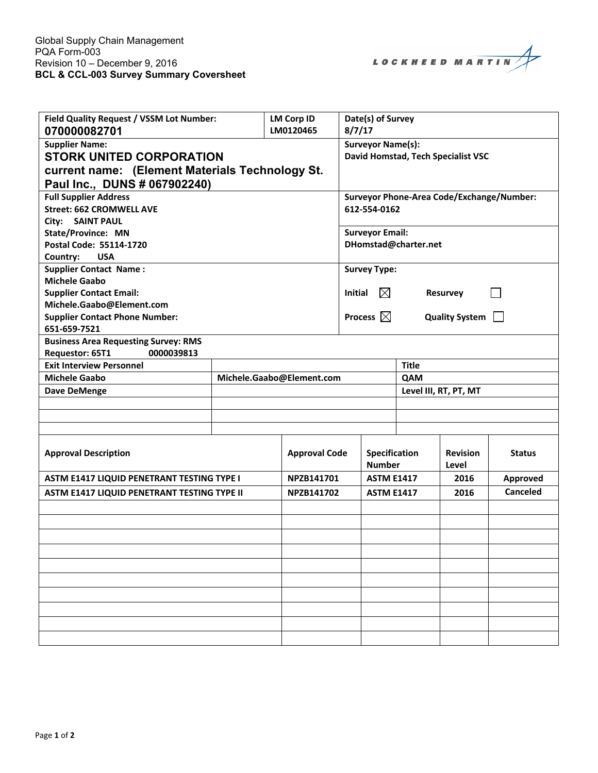LOCKHEED MARTIN

| Field Quality Request / VSSM Lot Number:<br>070000082701                                                                                    |  | <b>LM Corp ID</b><br>LM0120465 | 8/7/17                                                                             | Date(s) of Survey                                              |                      |                          |                 |  |
|---------------------------------------------------------------------------------------------------------------------------------------------|--|--------------------------------|------------------------------------------------------------------------------------|----------------------------------------------------------------|----------------------|--------------------------|-----------------|--|
| <b>Supplier Name:</b><br><b>STORK UNITED CORPORATION</b><br>current name: (Element Materials Technology St.<br>Paul Inc., DUNS # 067902240) |  |                                |                                                                                    | <b>Surveyor Name(s):</b><br>David Homstad, Tech Specialist VSC |                      |                          |                 |  |
| <b>Full Supplier Address</b><br><b>Street: 662 CROMWELL AVE</b><br>City: SAINT PAUL                                                         |  |                                | Surveyor Phone-Area Code/Exchange/Number:<br>612-554-0162                          |                                                                |                      |                          |                 |  |
| <b>State/Province: MN</b><br>Postal Code: 55114-1720<br><b>USA</b><br>Country:                                                              |  |                                |                                                                                    | <b>Surveyor Email:</b><br>DHomstad@charter.net                 |                      |                          |                 |  |
| <b>Supplier Contact Name:</b><br><b>Michele Gaabo</b><br><b>Supplier Contact Email:</b>                                                     |  |                                |                                                                                    | <b>Survey Type:</b>                                            |                      |                          |                 |  |
| Michele.Gaabo@Element.com<br><b>Supplier Contact Phone Number:</b><br>651-659-7521                                                          |  |                                | $\boxtimes$<br>Initial<br>Resurvey<br><b>Process</b> $\boxtimes$<br>Quality System |                                                                |                      |                          |                 |  |
| <b>Business Area Requesting Survey: RMS</b><br>Requestor: 65T1<br>0000039813                                                                |  |                                |                                                                                    |                                                                |                      |                          |                 |  |
| <b>Exit Interview Personnel</b><br><b>Michele Gaabo</b><br>Michele.Gaabo@Element.com                                                        |  |                                |                                                                                    | <b>Title</b><br>QAM                                            |                      |                          |                 |  |
|                                                                                                                                             |  |                                |                                                                                    | Level III, RT, PT, MT                                          |                      |                          |                 |  |
| <b>Dave DeMenge</b>                                                                                                                         |  |                                |                                                                                    |                                                                |                      |                          |                 |  |
|                                                                                                                                             |  |                                |                                                                                    |                                                                |                      |                          |                 |  |
|                                                                                                                                             |  |                                |                                                                                    |                                                                |                      |                          |                 |  |
| <b>Approval Description</b>                                                                                                                 |  |                                | <b>Approval Code</b><br><b>Number</b>                                              |                                                                | <b>Specification</b> | <b>Revision</b><br>Level | <b>Status</b>   |  |
| ASTM E1417 LIQUID PENETRANT TESTING TYPE I                                                                                                  |  |                                | NPZB141701                                                                         |                                                                | <b>ASTM E1417</b>    |                          | <b>Approved</b> |  |
| ASTM E1417 LIQUID PENETRANT TESTING TYPE II                                                                                                 |  |                                | NPZB141702                                                                         |                                                                | <b>ASTM E1417</b>    | 2016                     | <b>Canceled</b> |  |
|                                                                                                                                             |  |                                |                                                                                    |                                                                |                      |                          |                 |  |
|                                                                                                                                             |  |                                |                                                                                    |                                                                |                      |                          |                 |  |
|                                                                                                                                             |  |                                |                                                                                    |                                                                |                      |                          |                 |  |
|                                                                                                                                             |  |                                |                                                                                    |                                                                |                      |                          |                 |  |
|                                                                                                                                             |  |                                |                                                                                    |                                                                |                      |                          |                 |  |
|                                                                                                                                             |  |                                |                                                                                    |                                                                |                      |                          |                 |  |
|                                                                                                                                             |  |                                |                                                                                    |                                                                |                      |                          |                 |  |
|                                                                                                                                             |  |                                |                                                                                    |                                                                |                      |                          |                 |  |
|                                                                                                                                             |  |                                |                                                                                    |                                                                |                      |                          |                 |  |
|                                                                                                                                             |  |                                |                                                                                    |                                                                |                      |                          |                 |  |